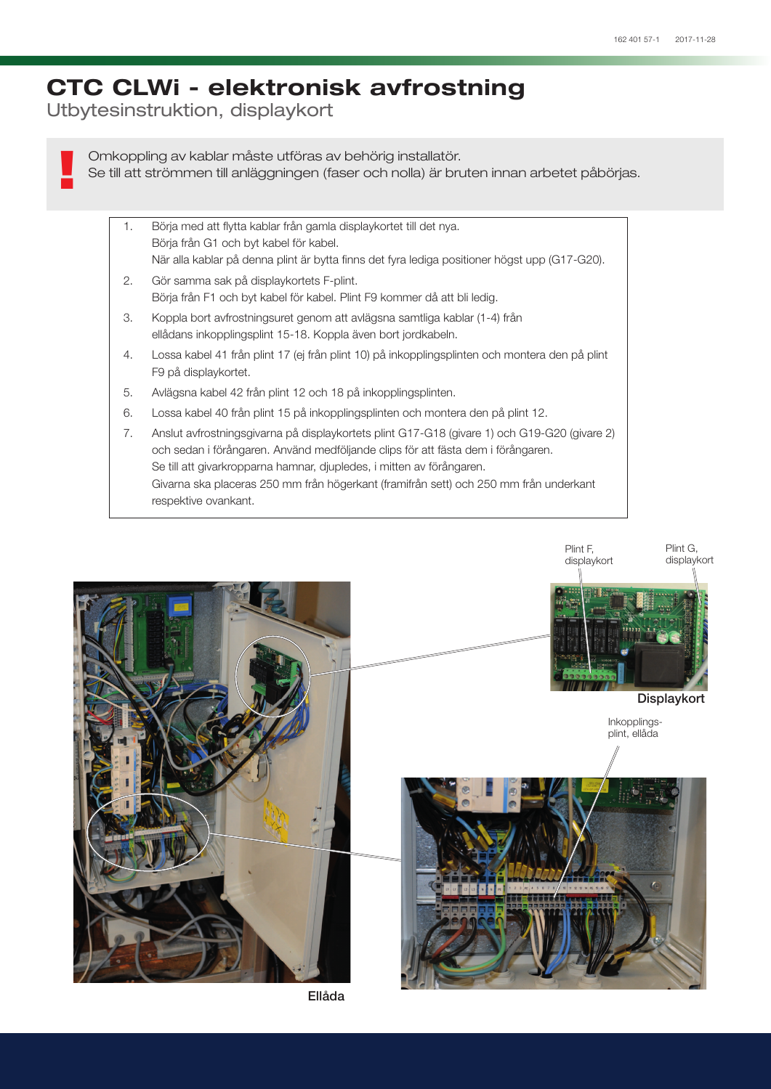## CTC CLWi - elektronisk avfrostning

Utbytesinstruktion, displaykort

!

Omkoppling av kablar måste utföras av behörig installatör. Se till att strömmen till anläggningen (faser och nolla) är bruten innan arbetet påbörjas.

- 1. Börja med att flytta kablar från gamla displaykortet till det nya. Börja från G1 och byt kabel för kabel. När alla kablar på denna plint är bytta finns det fyra lediga positioner högst upp (G17-G20).
- 2. Gör samma sak på displaykortets F-plint. Börja från F1 och byt kabel för kabel. Plint F9 kommer då att bli ledig.
- 3. Koppla bort avfrostningsuret genom att avlägsna samtliga kablar (1-4) från ellådans inkopplingsplint 15-18. Koppla även bort jordkabeln.
- 4. Lossa kabel 41 från plint 17 (ej från plint 10) på inkopplingsplinten och montera den på plint F9 på displaykortet.
- 5. Avlägsna kabel 42 från plint 12 och 18 på inkopplingsplinten.
- 6. Lossa kabel 40 från plint 15 på inkopplingsplinten och montera den på plint 12.
- 7. Anslut avfrostningsgivarna på displaykortets plint G17-G18 (givare 1) och G19-G20 (givare 2) och sedan i förångaren. Använd medföljande clips för att fästa dem i förångaren. Se till att givarkropparna hamnar, djupledes, i mitten av förångaren. Givarna ska placeras 250 mm från högerkant (framifrån sett) och 250 mm från underkant respektive ovankant.



Ellåda